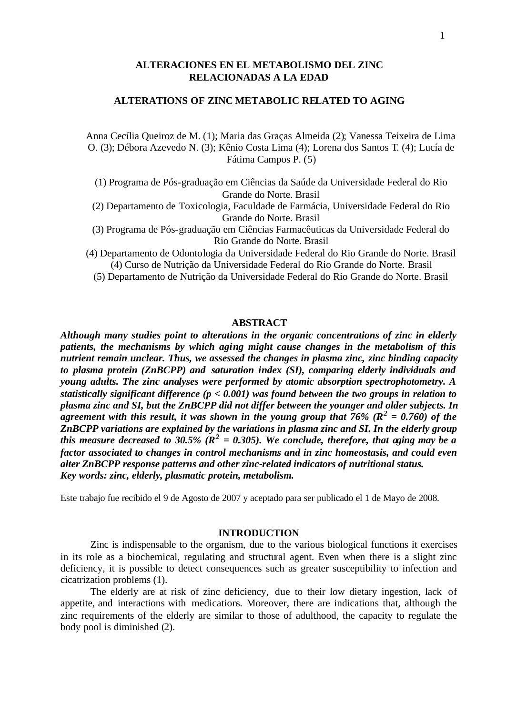# **ALTERACIONES EN EL METABOLISMO DEL ZINC RELACIONADAS A LA EDAD**

# **ALTERATIONS OF ZINC METABOLIC RELATED TO AGING**

Anna Cecília Queiroz de M. (1); Maria das Graças Almeida (2); Vanessa Teixeira de Lima O. (3); Débora Azevedo N. (3); Kênio Costa Lima (4); Lorena dos Santos T. (4); Lucía de Fátima Campos P. (5)

- (1) Programa de Pós-graduação em Ciências da Saúde da Universidade Federal do Rio Grande do Norte. Brasil
- (2) Departamento de Toxicologia, Faculdade de Farmácia, Universidade Federal do Rio Grande do Norte. Brasil
- (3) Programa de Pós-graduação em Ciências Farmacêuticas da Universidade Federal do Rio Grande do Norte. Brasil
- (4) Departamento de Odontologia da Universidade Federal do Rio Grande do Norte. Brasil (4) Curso de Nutrição da Universidade Federal do Rio Grande do Norte. Brasil
	- (5) Departamento de Nutrição da Universidade Federal do Rio Grande do Norte. Brasil

## **ABSTRACT**

*Although many studies point to alterations in the organic concentrations of zinc in elderly patients, the mechanisms by which aging might cause changes in the metabolism of this nutrient remain unclear. Thus, we assessed the changes in plasma zinc, zinc binding capacity to plasma protein (ZnBCPP) and saturation index (SI), comparing elderly individuals and young adults. The zinc analyses were performed by atomic absorption spectrophotometry. A statistically significant difference (p < 0.001) was found between the two groups in relation to plasma zinc and SI, but the ZnBCPP did not differ between the younger and older subjects. In agreement with this result, it was shown in the young group that 76% (R<sup>2</sup> = 0.760) of the ZnBCPP variations are explained by the variations in plasma zinc and SI. In the elderly group this measure decreased to 30.5% (* $\mathbb{R}^2 = 0.305$ *). We conclude, therefore, that aging may be a factor associated to changes in control mechanisms and in zinc homeostasis, and could even alter ZnBCPP response patterns and other zinc-related indicators of nutritional status. Key words: zinc, elderly, plasmatic protein, metabolism.*

Este trabajo fue recibido el 9 de Agosto de 2007 y aceptado para ser publicado el 1 de Mayo de 2008.

# **INTRODUCTION**

Zinc is indispensable to the organism, due to the various biological functions it exercises in its role as a biochemical, regulating and structural agent. Even when there is a slight zinc deficiency, it is possible to detect consequences such as greater susceptibility to infection and cicatrization problems (1).

The elderly are at risk of zinc deficiency, due to their low dietary ingestion, lack of appetite, and interactions with medications. Moreover, there are indications that, although the zinc requirements of the elderly are similar to those of adulthood, the capacity to regulate the body pool is diminished (2).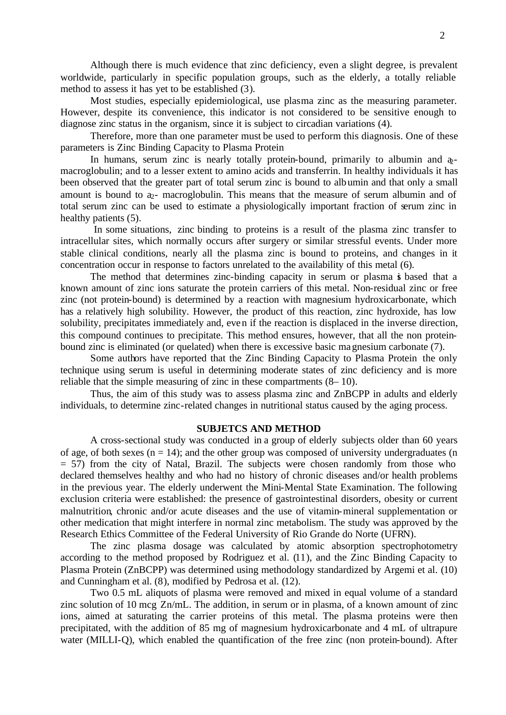Although there is much evidence that zinc deficiency, even a slight degree, is prevalent worldwide, particularly in specific population groups, such as the elderly, a totally reliable method to assess it has yet to be established (3).

Most studies, especially epidemiological, use plasma zinc as the measuring parameter. However, despite its convenience, this indicator is not considered to be sensitive enough to diagnose zinc status in the organism, since it is subject to circadian variations (4).

Therefore, more than one parameter must be used to perform this diagnosis. One of these parameters is Zinc Binding Capacity to Plasma Protein

In humans, serum zinc is nearly totally protein-bound, primarily to albumin and  $\phi$ macroglobulin; and to a lesser extent to amino acids and transferrin. In healthy individuals it has been observed that the greater part of total serum zinc is bound to albumin and that only a small amount is bound to  $a_2$ - macroglobulin. This means that the measure of serum albumin and of total serum zinc can be used to estimate a physiologically important fraction of serum zinc in healthy patients (5).

 In some situations, zinc binding to proteins is a result of the plasma zinc transfer to intracellular sites, which normally occurs after surgery or similar stressful events. Under more stable clinical conditions, nearly all the plasma zinc is bound to proteins, and changes in it concentration occur in response to factors unrelated to the availability of this metal (6).

The method that determines zinc-binding capacity in serum or plasma is based that a known amount of zinc ions saturate the protein carriers of this metal. Non-residual zinc or free zinc (not protein-bound) is determined by a reaction with magnesium hydroxicarbonate, which has a relatively high solubility. However, the product of this reaction, zinc hydroxide, has low solubility, precipitates immediately and, even if the reaction is displaced in the inverse direction, this compound continues to precipitate. This method ensures, however, that all the non proteinbound zinc is eliminated (or quelated) when there is excessive basic magnesium carbonate (7).

Some authors have reported that the Zinc Binding Capacity to Plasma Protein the only technique using serum is useful in determining moderate states of zinc deficiency and is more reliable that the simple measuring of zinc in these compartments (8– 10).

Thus, the aim of this study was to assess plasma zinc and ZnBCPP in adults and elderly individuals, to determine zinc-related changes in nutritional status caused by the aging process.

## **SUBJETCS AND METHOD**

A cross-sectional study was conducted in a group of elderly subjects older than 60 years of age, of both sexes ( $n = 14$ ); and the other group was composed of university undergraduates (n  $= 57$ ) from the city of Natal, Brazil. The subjects were chosen randomly from those who declared themselves healthy and who had no history of chronic diseases and/or health problems in the previous year. The elderly underwent the Mini-Mental State Examination. The following exclusion criteria were established: the presence of gastrointestinal disorders, obesity or current malnutrition, chronic and/or acute diseases and the use of vitamin-mineral supplementation or other medication that might interfere in normal zinc metabolism. The study was approved by the Research Ethics Committee of the Federal University of Rio Grande do Norte (UFRN).

The zinc plasma dosage was calculated by atomic absorption spectrophotometry according to the method proposed by Rodriguez et al. (11), and the Zinc Binding Capacity to Plasma Protein (ZnBCPP) was determined using methodology standardized by Argemi et al. (10) and Cunningham et al. (8), modified by Pedrosa et al. (12).

Two 0.5 mL aliquots of plasma were removed and mixed in equal volume of a standard zinc solution of 10 mcg Zn/mL. The addition, in serum or in plasma, of a known amount of zinc ions, aimed at saturating the carrier proteins of this metal. The plasma proteins were then precipitated, with the addition of 85 mg of magnesium hydroxicarbonate and 4 mL of ultrapure water (MILLI-Q), which enabled the quantification of the free zinc (non protein-bound). After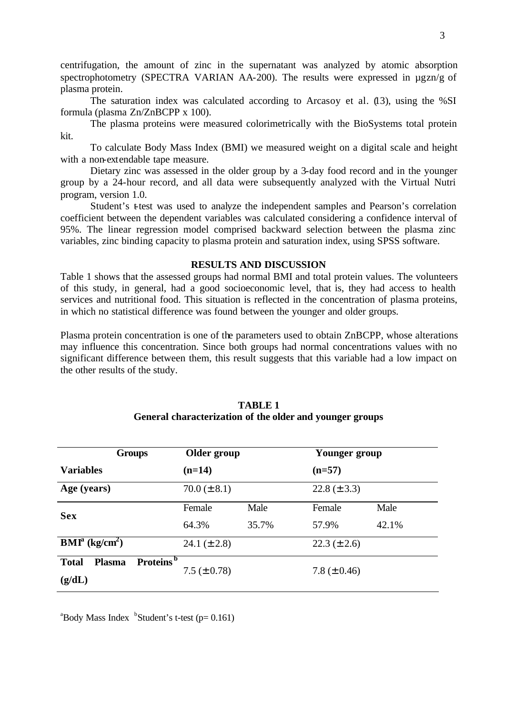centrifugation, the amount of zinc in the supernatant was analyzed by atomic absorption spectrophotometry (SPECTRA VARIAN AA-200). The results were expressed in  $\mu$ gzn/g of plasma protein.

The saturation index was calculated according to Arcasoy et al. (13), using the %SI formula (plasma Zn/ZnBCPP x 100).

The plasma proteins were measured colorimetrically with the BioSystems total protein kit.

To calculate Body Mass Index (BMI) we measured weight on a digital scale and height with a non-extendable tape measure.

Dietary zinc was assessed in the older group by a 3-day food record and in the younger group by a 24-hour record, and all data were subsequently analyzed with the Virtual Nutri program, version 1.0.

Student's t-test was used to analyze the independent samples and Pearson's correlation coefficient between the dependent variables was calculated considering a confidence interval of 95%. The linear regression model comprised backward selection between the plasma zinc variables, zinc binding capacity to plasma protein and saturation index, using SPSS software.

# **RESULTS AND DISCUSSION**

Table 1 shows that the assessed groups had normal BMI and total protein values. The volunteers of this study, in general, had a good socioeconomic level, that is, they had access to health services and nutritional food. This situation is reflected in the concentration of plasma proteins, in which no statistical difference was found between the younger and older groups.

Plasma protein concentration is one of the parameters used to obtain ZnBCPP, whose alterations may influence this concentration. Since both groups had normal concentrations values with no significant difference between them, this result suggests that this variable had a low impact on the other results of the study.

| <b>Groups</b>                                 |                                            | Older group      |                   | Younger group    |  |
|-----------------------------------------------|--------------------------------------------|------------------|-------------------|------------------|--|
| <b>Variables</b>                              | $(n=14)$                                   |                  | $(n=57)$          |                  |  |
| Age (years)                                   |                                            | $70.0 (\pm 8.1)$ |                   | $22.8 (\pm 3.3)$ |  |
| <b>Sex</b>                                    | Female                                     | Male             | Female            | Male             |  |
|                                               | 64.3%                                      | 35.7%            | 57.9%             | 42.1%            |  |
| $\text{BMI}^{\text{a}}$ (kg/cm <sup>2</sup> ) |                                            | 24.1 $(\pm 2.8)$ |                   | $22.3 (\pm 2.6)$ |  |
| <b>Total</b><br><b>Plasma</b><br>(g/dL)       | Proteins <sup>b</sup><br>7.5 ( $\pm$ 0.78) |                  | 7.8 ( $\pm$ 0.46) |                  |  |

## **TABLE 1 General characterization of the older and younger groups**

 $\alpha$ <sup>a</sup>Body Mass Index  $\beta$ Student's t-test (p= 0.161)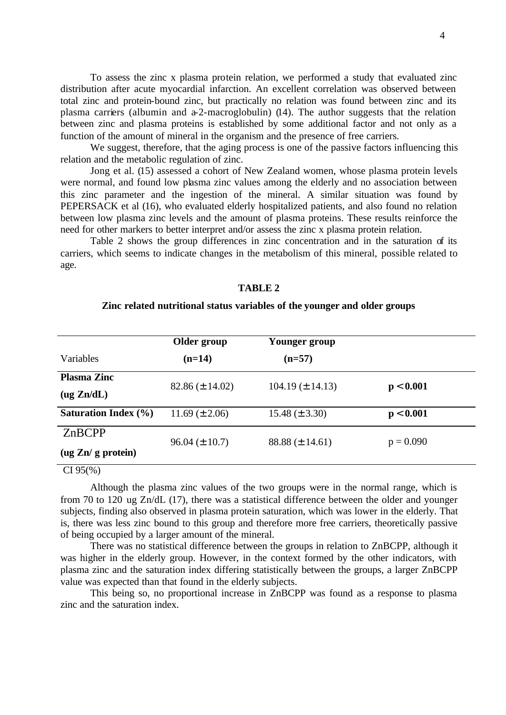To assess the zinc x plasma protein relation, we performed a study that evaluated zinc distribution after acute myocardial infarction. An excellent correlation was observed between total zinc and protein-bound zinc, but practically no relation was found between zinc and its plasma carriers (albumin and  $a-2$ -macroglobulin) (14). The author suggests that the relation between zinc and plasma proteins is established by some additional factor and not only as a function of the amount of mineral in the organism and the presence of free carriers.

We suggest, therefore, that the aging process is one of the passive factors influencing this relation and the metabolic regulation of zinc.

Jong et al. (15) assessed a cohort of New Zealand women, whose plasma protein levels were normal, and found low plasma zinc values among the elderly and no association between this zinc parameter and the ingestion of the mineral. A similar situation was found by PEPERSACK et al (16), who evaluated elderly hospitalized patients, and also found no relation between low plasma zinc levels and the amount of plasma proteins. These results reinforce the need for other markers to better interpret and/or assess the zinc x plasma protein relation.

Table 2 shows the group differences in zinc concentration and in the saturation of its carriers, which seems to indicate changes in the metabolism of this mineral, possible related to age.

### **TABLE 2**

### **Zinc related nutritional status variables of the younger and older groups**

| $(n=57)$                            |
|-------------------------------------|
|                                     |
|                                     |
| $104.19 \ (\pm 14.13)$<br>p < 0.001 |
| $15.48 \ (\pm 3.30)$<br>p < 0.001   |
| $p = 0.090$                         |
| $88.88 \ (\pm 14.61)$               |
|                                     |

#### CI 95(%)

Although the plasma zinc values of the two groups were in the normal range, which is from 70 to 120 ug Zn/dL (17), there was a statistical difference between the older and younger subjects, finding also observed in plasma protein saturation, which was lower in the elderly. That is, there was less zinc bound to this group and therefore more free carriers, theoretically passive of being occupied by a larger amount of the mineral.

There was no statistical difference between the groups in relation to ZnBCPP, although it was higher in the elderly group. However, in the context formed by the other indicators, with plasma zinc and the saturation index differing statistically between the groups, a larger ZnBCPP value was expected than that found in the elderly subjects.

This being so, no proportional increase in ZnBCPP was found as a response to plasma zinc and the saturation index.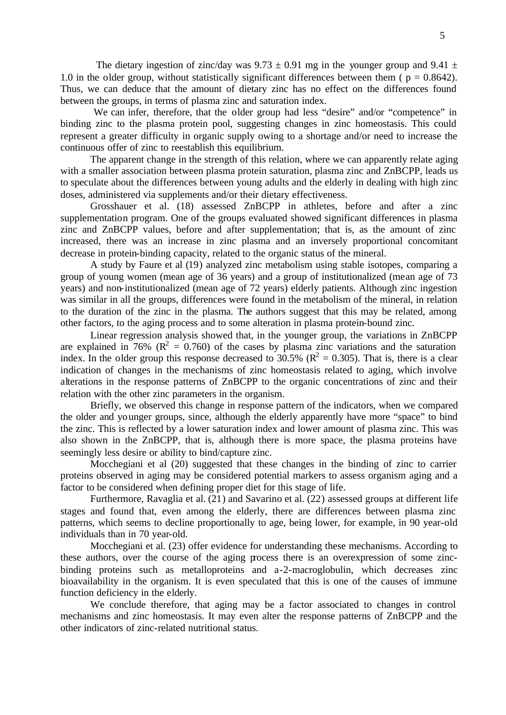The dietary ingestion of zinc/day was  $9.73 \pm 0.91$  mg in the younger group and  $9.41 \pm$ 1.0 in the older group, without statistically significant differences between them ( $p = 0.8642$ ). Thus, we can deduce that the amount of dietary zinc has no effect on the differences found between the groups, in terms of plasma zinc and saturation index.

We can infer, therefore, that the older group had less "desire" and/or "competence" in binding zinc to the plasma protein pool, suggesting changes in zinc homeostasis. This could represent a greater difficulty in organic supply owing to a shortage and/or need to increase the continuous offer of zinc to reestablish this equilibrium.

The apparent change in the strength of this relation, where we can apparently relate aging with a smaller association between plasma protein saturation, plasma zinc and ZnBCPP, leads us to speculate about the differences between young adults and the elderly in dealing with high zinc doses, administered via supplements and/or their dietary effectiveness.

Grosshauer et al. (18) assessed ZnBCPP in athletes, before and after a zinc supplementation program. One of the groups evaluated showed significant differences in plasma zinc and ZnBCPP values, before and after supplementation; that is, as the amount of zinc increased, there was an increase in zinc plasma and an inversely proportional concomitant decrease in protein-binding capacity, related to the organic status of the mineral.

A study by Faure et al (19) analyzed zinc metabolism using stable isotopes, comparing a group of young women (mean age of 36 years) and a group of institutionalized (mean age of 73 years) and non-institutionalized (mean age of 72 years) elderly patients. Although zinc ingestion was similar in all the groups, differences were found in the metabolism of the mineral, in relation to the duration of the zinc in the plasma. The authors suggest that this may be related, among other factors, to the aging process and to some alteration in plasma protein-bound zinc.

Linear regression analysis showed that, in the younger group, the variations in ZnBCPP are explained in 76% ( $\mathbb{R}^2 = 0.760$ ) of the cases by plasma zinc variations and the saturation index. In the older group this response decreased to 30.5% ( $R^2 = 0.305$ ). That is, there is a clear indication of changes in the mechanisms of zinc homeostasis related to aging, which involve alterations in the response patterns of ZnBCPP to the organic concentrations of zinc and their relation with the other zinc parameters in the organism.

Briefly, we observed this change in response pattern of the indicators, when we compared the older and younger groups, since, although the elderly apparently have more "space" to bind the zinc. This is reflected by a lower saturation index and lower amount of plasma zinc. This was also shown in the ZnBCPP, that is, although there is more space, the plasma proteins have seemingly less desire or ability to bind/capture zinc.

Mocchegiani et al (20) suggested that these changes in the binding of zinc to carrier proteins observed in aging may be considered potential markers to assess organism aging and a factor to be considered when defining proper diet for this stage of life.

Furthermore, Ravaglia et al. (21) and Savarino et al. (22) assessed groups at different life stages and found that, even among the elderly, there are differences between plasma zinc patterns, which seems to decline proportionally to age, being lower, for example, in 90 year-old individuals than in 70 year-old.

Mocchegiani et al. (23) offer evidence for understanding these mechanisms. According to these authors, over the course of the aging process there is an overexpression of some zincbinding proteins such as metalloproteins and a-2-macroglobulin, which decreases zinc bioavailability in the organism. It is even speculated that this is one of the causes of immune function deficiency in the elderly.

We conclude therefore, that aging may be a factor associated to changes in control mechanisms and zinc homeostasis. It may even alter the response patterns of ZnBCPP and the other indicators of zinc-related nutritional status.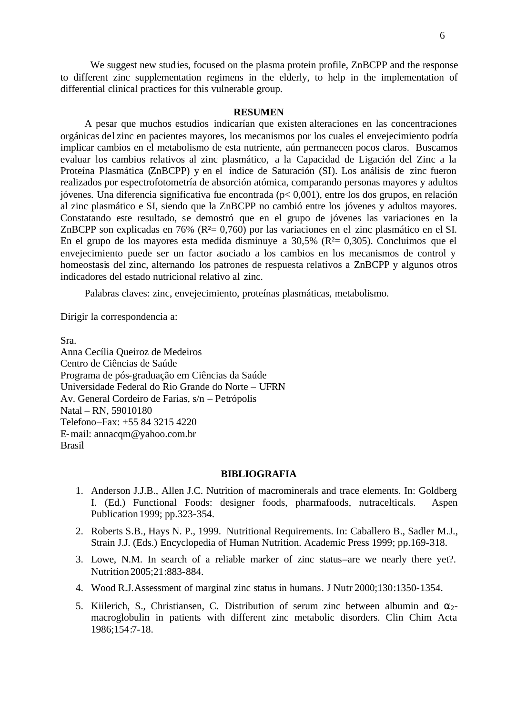We suggest new studies, focused on the plasma protein profile, ZnBCPP and the response to different zinc supplementation regimens in the elderly, to help in the implementation of differential clinical practices for this vulnerable group.

## **RESUMEN**

A pesar que muchos estudios indicarían que existen alteraciones en las concentraciones orgánicas del zinc en pacientes mayores, los mecanismos por los cuales el envejecimiento podría implicar cambios en el metabolismo de esta nutriente, aún permanecen pocos claros. Buscamos evaluar los cambios relativos al zinc plasmático, a la Capacidad de Ligación del Zinc a la Proteína Plasmática (ZnBCPP) y en el índice de Saturación (SI). Los análisis de zinc fueron realizados por espectrofotometría de absorción atómica, comparando personas mayores y adultos jóvenes. Una diferencia significativa fue encontrada (p< 0,001), entre los dos grupos, en relación al zinc plasmático e SI, siendo que la ZnBCPP no cambió entre los jóvenes y adultos mayores. Constatando este resultado, se demostró que en el grupo de jóvenes las variaciones en la ZnBCPP son explicadas en 76% (R<sup>2</sup>= 0,760) por las variaciones en el zinc plasmático en el SI. En el grupo de los mayores esta medida disminuye a  $30,5\%$  ( $R<sup>2</sup>= 0,305$ ). Concluimos que el envejecimiento puede ser un factor asociado a los cambios en los mecanismos de control y homeostasis del zinc, alternando los patrones de respuesta relativos a ZnBCPP y algunos otros indicadores del estado nutricional relativo al zinc.

Palabras claves: zinc, envejecimiento, proteínas plasmáticas, metabolismo.

Dirigir la correspondencia a:

Sra.

Anna Cecília Queiroz de Medeiros Centro de Ciências de Saúde Programa de pós-graduação em Ciências da Saúde Universidade Federal do Rio Grande do Norte – UFRN Av. General Cordeiro de Farias, s/n – Petrópolis Natal – RN, 59010180 Telefono–Fax: +55 84 3215 4220 E-mail: annacqm@yahoo.com.br Brasil

# **BIBLIOGRAFIA**

- 1. Anderson J.J.B., Allen J.C. Nutrition of macrominerals and trace elements. In: Goldberg I. (Ed.) Functional Foods: designer foods, pharmafoods, nutracelticals. Aspen Publication 1999; pp.323-354.
- 2. Roberts S.B., Hays N. P., 1999. Nutritional Requirements. In: Caballero B., Sadler M.J., Strain J.J. (Eds.) Encyclopedia of Human Nutrition. Academic Press 1999; pp.169-318.
- 3. Lowe, N.M. In search of a reliable marker of zinc status–are we nearly there yet?. Nutrition 2005;21:883-884.
- 4. Wood R.J.Assessment of marginal zinc status in humans. J Nutr 2000;130:1350-1354.
- 5. Kiilerich, S., Christiansen, C. Distribution of serum zinc between albumin and  $\alpha_2$ macroglobulin in patients with different zinc metabolic disorders. Clin Chim Acta 1986;154:7-18.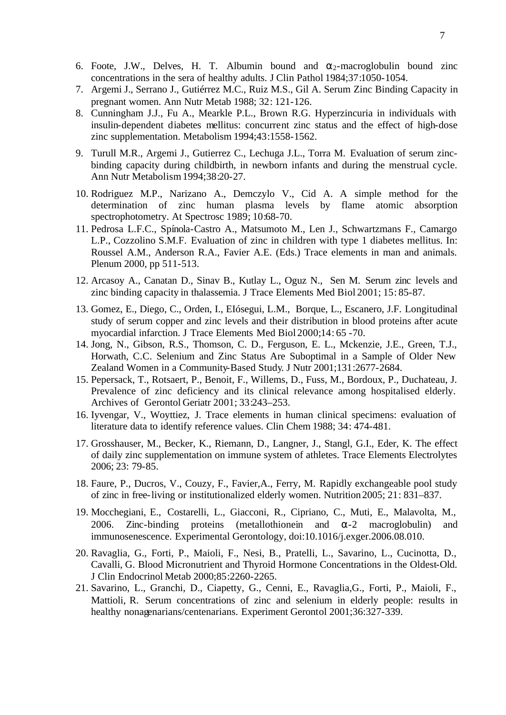- 6. Foote, J.W., Delves, H. T. Albumin bound and  $\alpha_2$ -macroglobulin bound zinc concentrations in the sera of healthy adults. J Clin Pathol 1984;37:1050-1054.
- 7. Argemi J., Serrano J., Gutiérrez M.C., Ruiz M.S., Gil A. Serum Zinc Binding Capacity in pregnant women. Ann Nutr Metab 1988; 32: 121-126.
- 8. Cunningham J.J., Fu A., Mearkle P.L., Brown R.G. Hyperzincuria in individuals with insulin-dependent diabetes mellitus: concurrent zinc status and the effect of high-dose zinc supplementation. Metabolism 1994;43:1558-1562.
- 9. Turull M.R., Argemi J., Gutierrez C., Lechuga J.L., Torra M. Evaluation of serum zincbinding capacity during childbirth, in newborn infants and during the menstrual cycle. Ann Nutr Metabolism 1994;38:20-27.
- 10. Rodriguez M.P., Narizano A., Demczylo V., Cid A. A simple method for the determination of zinc human plasma levels by flame atomic absorption spectrophotometry. At Spectrosc 1989; 10:68-70.
- 11. Pedrosa L.F.C., Spínola-Castro A., Matsumoto M., Len J., Schwartzmans F., Camargo L.P., Cozzolino S.M.F. Evaluation of zinc in children with type 1 diabetes mellitus. In: Roussel A.M., Anderson R.A., Favier A.E. (Eds.) Trace elements in man and animals. Plenum 2000, pp 511-513.
- 12. Arcasoy A., Canatan D., Sinav B., Kutlay L., Oguz N., Sen M. Serum zinc levels and zinc binding capacity in thalassemia. J Trace Elements Med Biol 2001; 15: 85-87.
- 13. Gomez, E., Diego, C., Orden, I., EIósegui, L.M., Borque, L., Escanero, J.F. Longitudinal study of serum copper and zinc levels and their distribution in blood proteins after acute myocardial infarction. J Trace Elements Med Biol 2000;14: 65 -70.
- 14. Jong, N., Gibson, R.S., Thomson, C. D., Ferguson, E. L., Mckenzie, J.E., Green, T.J., Horwath, C.C. Selenium and Zinc Status Are Suboptimal in a Sample of Older New Zealand Women in a Community-Based Study. J Nutr 2001;131:2677-2684.
- 15. Pepersack, T., Rotsaert, P., Benoit, F., Willems, D., Fuss, M., Bordoux, P., Duchateau, J. Prevalence of zinc deficiency and its clinical relevance among hospitalised elderly. Archives of Gerontol Geriatr 2001; 33:243–253.
- 16. Iyvengar, V., Woyttiez, J. Trace elements in human clinical specimens: evaluation of literature data to identify reference values. Clin Chem 1988; 34: 474-481.
- 17. Grosshauser, M., Becker, K., Riemann, D., Langner, J., Stangl, G.I., Eder, K. The effect of daily zinc supplementation on immune system of athletes. Trace Elements Electrolytes 2006; 23: 79-85.
- 18. Faure, P., Ducros, V., Couzy, F., Favier,A., Ferry, M. Rapidly exchangeable pool study of zinc in free-living or institutionalized elderly women. Nutrition 2005; 21: 831–837.
- 19. Mocchegiani, E., Costarelli, L., Giacconi, R., Cipriano, C., Muti, E., Malavolta, M., 2006. Zinc-binding proteins (metallothionein and  $\alpha$ -2 macroglobulin) and immunosenescence. Experimental Gerontology, doi:10.1016/j.exger.2006.08.010.
- 20. Ravaglia, G., Forti, P., Maioli, F., Nesi, B., Pratelli, L., Savarino, L., Cucinotta, D., Cavalli, G. Blood Micronutrient and Thyroid Hormone Concentrations in the Oldest-Old. J Clin Endocrinol Metab 2000;85:2260-2265.
- 21. Savarino, L., Granchi, D., Ciapetty, G., Cenni, E., Ravaglia,G., Forti, P., Maioli, F., Mattioli, R. Serum concentrations of zinc and selenium in elderly people: results in healthy nonagenarians/centenarians. Experiment Gerontol 2001;36:327-339.